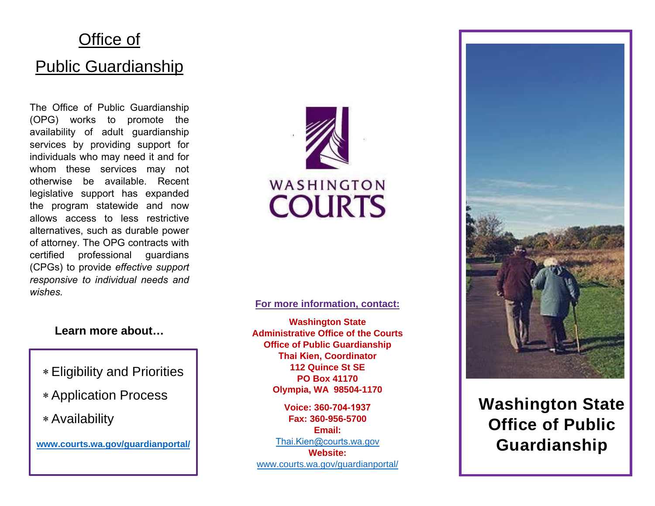# Office of Public Guardianship

The Office of Public Guardianship (OPG) works to promote the availability of adult guardianship services by providing support for individuals who may need it and for whom these services may not otherwise be available. Recent legislative support has expanded the program statewide and now allows access to less restrictive alternatives, such as durable power of attorney. The OPG contracts with certified professional guardians (CPGs) to provide *effective support responsive to individual needs and wishes.*



#### **For more information, contact:**

**Washington State Administrative Office of the Courts Office of Public Guardianship Thai Kien, Coordinator 112 Quince St SE PO Box 41170 Olympia, WA 98504-1170** 

**Voice: 360-704-1937 Fax: 360-956-5700 Email:**  [Thai.Kien@courts.](mailto:Jennifer.Holderman@courts.wa.gov)wa.gov **Website:** [www.courts.wa.gov/guardianportal/](http://www.courts.wa.gov/guardianportal/)



**Washington State Office of Public Guardianship**

#### **Learn more about…**

- ∗ Eligibility and Priorities
- ∗ Application Process
- ∗ Availability

**[www.courts.wa.gov/guardianportal/](http://www.courts.wa.gov/guardianportal/)**